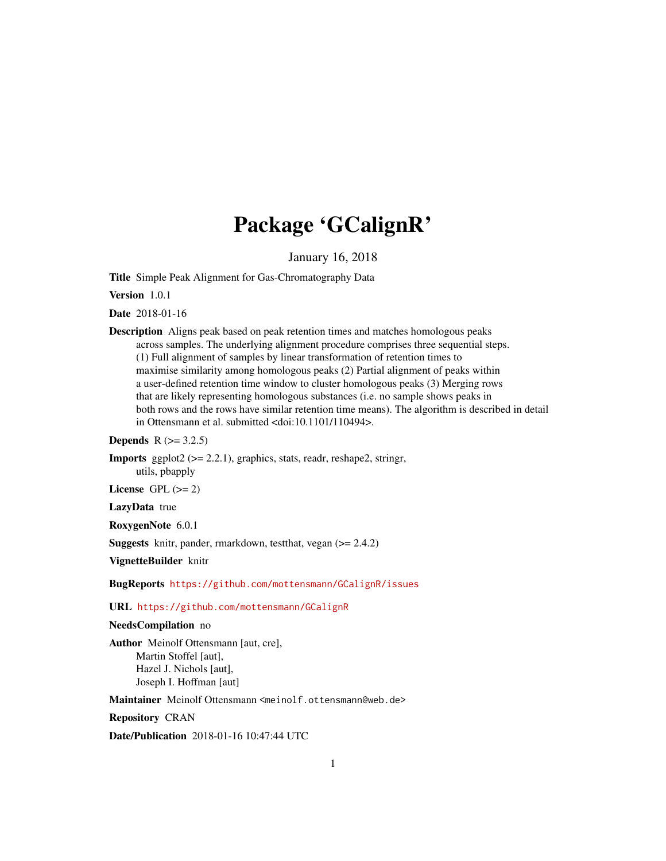## Package 'GCalignR'

January 16, 2018

<span id="page-0-0"></span>Title Simple Peak Alignment for Gas-Chromatography Data

Version 1.0.1

Date 2018-01-16

Description Aligns peak based on peak retention times and matches homologous peaks across samples. The underlying alignment procedure comprises three sequential steps. (1) Full alignment of samples by linear transformation of retention times to maximise similarity among homologous peaks (2) Partial alignment of peaks within a user-defined retention time window to cluster homologous peaks (3) Merging rows that are likely representing homologous substances (i.e. no sample shows peaks in both rows and the rows have similar retention time means). The algorithm is described in detail in Ottensmann et al. submitted <doi:10.1101/110494>.

#### **Depends**  $R$  ( $> = 3.2.5$ )

**Imports** ggplot $2$  ( $>= 2.2.1$ ), graphics, stats, readr, reshape2, stringr, utils, pbapply

License GPL  $(>= 2)$ 

LazyData true

RoxygenNote 6.0.1

Suggests knitr, pander, rmarkdown, testthat, vegan (>= 2.4.2)

VignetteBuilder knitr

BugReports <https://github.com/mottensmann/GCalignR/issues>

### URL <https://github.com/mottensmann/GCalignR>

## NeedsCompilation no

Author Meinolf Ottensmann [aut, cre], Martin Stoffel [aut], Hazel J. Nichols [aut], Joseph I. Hoffman [aut]

Maintainer Meinolf Ottensmann <meinolf.ottensmann@web.de>

Repository CRAN

Date/Publication 2018-01-16 10:47:44 UTC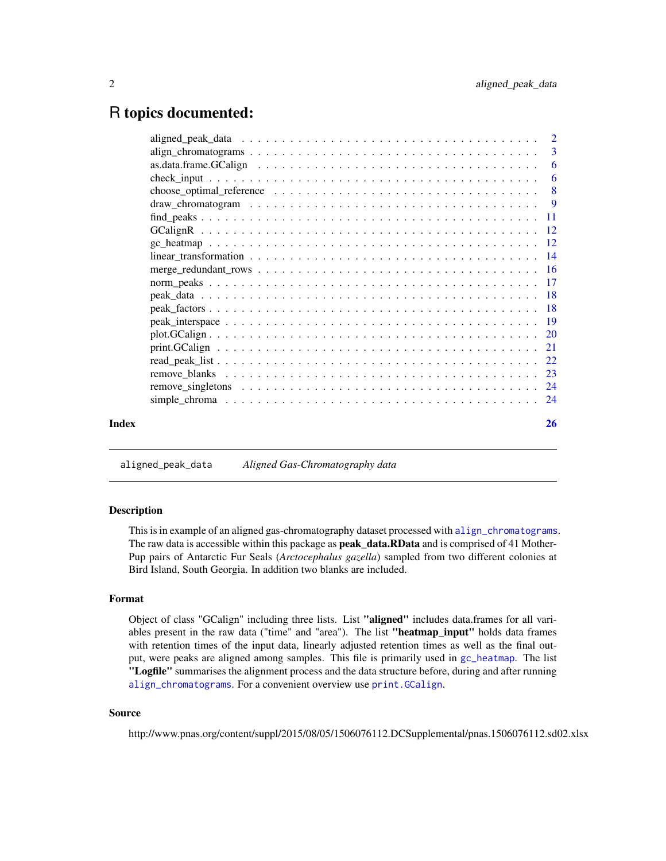## <span id="page-1-0"></span>R topics documented:

|       |                                                                                                                | -6                        |
|-------|----------------------------------------------------------------------------------------------------------------|---------------------------|
|       | choose_optimal_reference $\dots \dots \dots \dots \dots \dots \dots \dots \dots \dots \dots \dots \dots \dots$ | $\overline{\phantom{0}}8$ |
|       |                                                                                                                |                           |
|       |                                                                                                                |                           |
|       |                                                                                                                |                           |
|       |                                                                                                                |                           |
|       |                                                                                                                |                           |
|       |                                                                                                                |                           |
|       |                                                                                                                |                           |
|       |                                                                                                                |                           |
|       |                                                                                                                |                           |
|       |                                                                                                                |                           |
|       |                                                                                                                |                           |
|       |                                                                                                                |                           |
|       |                                                                                                                |                           |
|       |                                                                                                                |                           |
|       |                                                                                                                |                           |
|       | simple chroma $\ldots \ldots \ldots \ldots \ldots \ldots \ldots \ldots \ldots \ldots \ldots \ldots \ldots$     |                           |
| Index |                                                                                                                | 26                        |
|       |                                                                                                                |                           |

aligned\_peak\_data *Aligned Gas-Chromatography data*

#### Description

This is in example of an aligned gas-chromatography dataset processed with [align\\_chromatograms](#page-2-1). The raw data is accessible within this package as **peak\_data.RData** and is comprised of 41 Mother-Pup pairs of Antarctic Fur Seals (*Arctocephalus gazella*) sampled from two different colonies at Bird Island, South Georgia. In addition two blanks are included.

#### Format

Object of class "GCalign" including three lists. List "aligned" includes data.frames for all variables present in the raw data ("time" and "area"). The list "heatmap\_input" holds data frames with retention times of the input data, linearly adjusted retention times as well as the final output, were peaks are aligned among samples. This file is primarily used in [gc\\_heatmap](#page-11-1). The list "Logfile" summarises the alignment process and the data structure before, during and after running [align\\_chromatograms](#page-2-1). For a convenient overview use [print.GCalign](#page-20-1).

## Source

http://www.pnas.org/content/suppl/2015/08/05/1506076112.DCSupplemental/pnas.1506076112.sd02.xlsx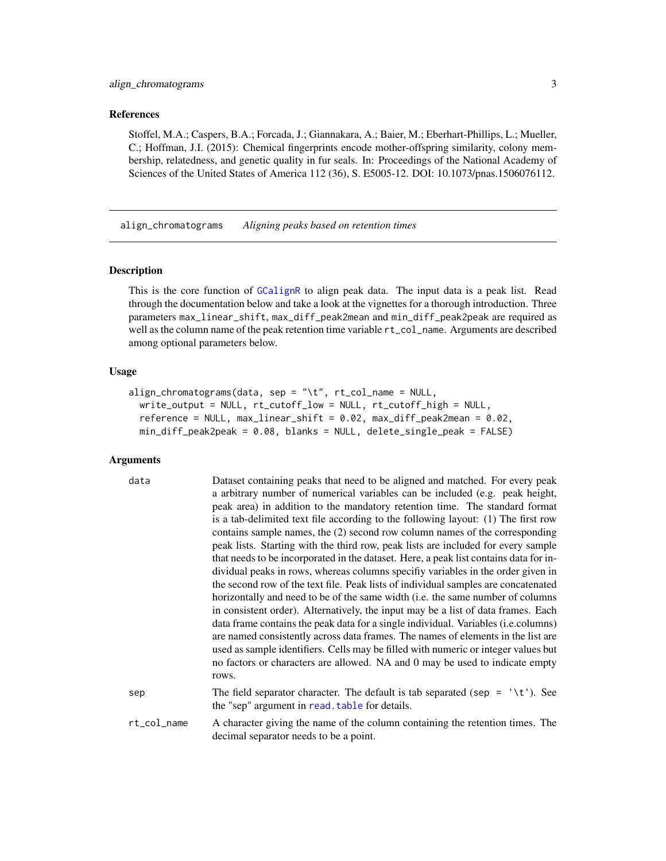#### <span id="page-2-0"></span>References

Stoffel, M.A.; Caspers, B.A.; Forcada, J.; Giannakara, A.; Baier, M.; Eberhart-Phillips, L.; Mueller, C.; Hoffman, J.I. (2015): Chemical fingerprints encode mother-offspring similarity, colony membership, relatedness, and genetic quality in fur seals. In: Proceedings of the National Academy of Sciences of the United States of America 112 (36), S. E5005-12. DOI: 10.1073/pnas.1506076112.

<span id="page-2-1"></span>align\_chromatograms *Aligning peaks based on retention times*

## Description

This is the core function of [GCalignR](#page-11-2) to align peak data. The input data is a peak list. Read through the documentation below and take a look at the vignettes for a thorough introduction. Three parameters max\_linear\_shift, max\_diff\_peak2mean and min\_diff\_peak2peak are required as well as the column name of the peak retention time variable rt\_col\_name. Arguments are described among optional parameters below.

#### Usage

```
align_chromatograms(data, sep = "\t", rt_col_name = NULL,
 write_output = NULL, rt_cutoff_low = NULL, rt_cutoff_high = NULL,
  reference = NULL, max_linear_shift = 0.02, max_diff_peak2mean = 0.02,
 min_diff_peak2peak = 0.08, blanks = NULL, delete_single_peak = FALSE)
```
## Arguments

| data        | Dataset containing peaks that need to be aligned and matched. For every peak<br>a arbitrary number of numerical variables can be included (e.g. peak height,<br>peak area) in addition to the mandatory retention time. The standard format<br>is a tab-delimited text file according to the following layout: (1) The first row<br>contains sample names, the (2) second row column names of the corresponding<br>peak lists. Starting with the third row, peak lists are included for every sample<br>that needs to be incorporated in the dataset. Here, a peak list contains data for in-<br>dividual peaks in rows, whereas columns specify variables in the order given in<br>the second row of the text file. Peak lists of individual samples are concatenated<br>horizontally and need to be of the same width (i.e. the same number of columns<br>in consistent order). Alternatively, the input may be a list of data frames. Each<br>data frame contains the peak data for a single individual. Variables (i.e.columns)<br>are named consistently across data frames. The names of elements in the list are<br>used as sample identifiers. Cells may be filled with numeric or integer values but<br>no factors or characters are allowed. NA and 0 may be used to indicate empty<br>rows. |
|-------------|--------------------------------------------------------------------------------------------------------------------------------------------------------------------------------------------------------------------------------------------------------------------------------------------------------------------------------------------------------------------------------------------------------------------------------------------------------------------------------------------------------------------------------------------------------------------------------------------------------------------------------------------------------------------------------------------------------------------------------------------------------------------------------------------------------------------------------------------------------------------------------------------------------------------------------------------------------------------------------------------------------------------------------------------------------------------------------------------------------------------------------------------------------------------------------------------------------------------------------------------------------------------------------------------------------|
| sep         | The field separator character. The default is tab separated (sep = $\forall t$ ). See<br>the "sep" argument in read, table for details.                                                                                                                                                                                                                                                                                                                                                                                                                                                                                                                                                                                                                                                                                                                                                                                                                                                                                                                                                                                                                                                                                                                                                                |
| rt_col_name | A character giving the name of the column containing the retention times. The<br>decimal separator needs to be a point.                                                                                                                                                                                                                                                                                                                                                                                                                                                                                                                                                                                                                                                                                                                                                                                                                                                                                                                                                                                                                                                                                                                                                                                |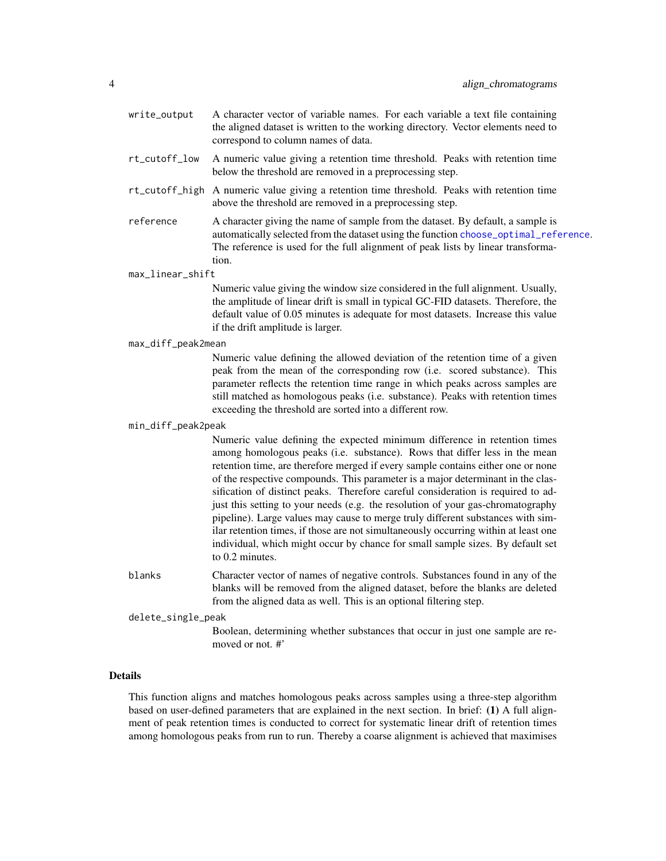- <span id="page-3-0"></span>write\_output A character vector of variable names. For each variable a text file containing the aligned dataset is written to the working directory. Vector elements need to correspond to column names of data.
- rt\_cutoff\_low A numeric value giving a retention time threshold. Peaks with retention time below the threshold are removed in a preprocessing step.
- rt\_cutoff\_high A numeric value giving a retention time threshold. Peaks with retention time above the threshold are removed in a preprocessing step.
- reference A character giving the name of sample from the dataset. By default, a sample is automatically selected from the dataset using the function [choose\\_optimal\\_reference](#page-7-1). The reference is used for the full alignment of peak lists by linear transformation.

max\_linear\_shift

Numeric value giving the window size considered in the full alignment. Usually, the amplitude of linear drift is small in typical GC-FID datasets. Therefore, the default value of 0.05 minutes is adequate for most datasets. Increase this value if the drift amplitude is larger.

#### max\_diff\_peak2mean

Numeric value defining the allowed deviation of the retention time of a given peak from the mean of the corresponding row (i.e. scored substance). This parameter reflects the retention time range in which peaks across samples are still matched as homologous peaks (i.e. substance). Peaks with retention times exceeding the threshold are sorted into a different row.

#### min\_diff\_peak2peak

Numeric value defining the expected minimum difference in retention times among homologous peaks (i.e. substance). Rows that differ less in the mean retention time, are therefore merged if every sample contains either one or none of the respective compounds. This parameter is a major determinant in the classification of distinct peaks. Therefore careful consideration is required to adjust this setting to your needs (e.g. the resolution of your gas-chromatography pipeline). Large values may cause to merge truly different substances with similar retention times, if those are not simultaneously occurring within at least one individual, which might occur by chance for small sample sizes. By default set to 0.2 minutes.

- blanks Character vector of names of negative controls. Substances found in any of the blanks will be removed from the aligned dataset, before the blanks are deleted from the aligned data as well. This is an optional filtering step.
- delete\_single\_peak
	- Boolean, determining whether substances that occur in just one sample are removed or not. #'

## Details

This function aligns and matches homologous peaks across samples using a three-step algorithm based on user-defined parameters that are explained in the next section. In brief: (1) A full alignment of peak retention times is conducted to correct for systematic linear drift of retention times among homologous peaks from run to run. Thereby a coarse alignment is achieved that maximises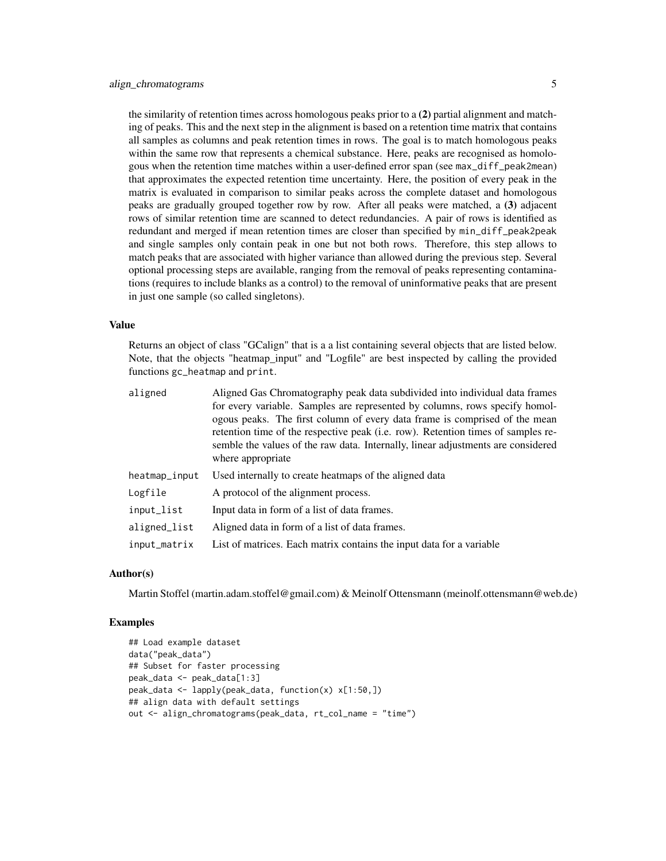the similarity of retention times across homologous peaks prior to a (2) partial alignment and matching of peaks. This and the next step in the alignment is based on a retention time matrix that contains all samples as columns and peak retention times in rows. The goal is to match homologous peaks within the same row that represents a chemical substance. Here, peaks are recognised as homologous when the retention time matches within a user-defined error span (see max\_diff\_peak2mean) that approximates the expected retention time uncertainty. Here, the position of every peak in the matrix is evaluated in comparison to similar peaks across the complete dataset and homologous peaks are gradually grouped together row by row. After all peaks were matched, a (3) adjacent rows of similar retention time are scanned to detect redundancies. A pair of rows is identified as redundant and merged if mean retention times are closer than specified by min\_diff\_peak2peak and single samples only contain peak in one but not both rows. Therefore, this step allows to match peaks that are associated with higher variance than allowed during the previous step. Several optional processing steps are available, ranging from the removal of peaks representing contaminations (requires to include blanks as a control) to the removal of uninformative peaks that are present in just one sample (so called singletons).

#### Value

Returns an object of class "GCalign" that is a a list containing several objects that are listed below. Note, that the objects "heatmap\_input" and "Logfile" are best inspected by calling the provided functions gc\_heatmap and print.

| aligned       | Aligned Gas Chromatography peak data subdivided into individual data frames<br>for every variable. Samples are represented by columns, rows specify homol-<br>ogous peaks. The first column of every data frame is comprised of the mean<br>retention time of the respective peak (i.e. row). Retention times of samples re-<br>semble the values of the raw data. Internally, linear adjustments are considered<br>where appropriate |
|---------------|---------------------------------------------------------------------------------------------------------------------------------------------------------------------------------------------------------------------------------------------------------------------------------------------------------------------------------------------------------------------------------------------------------------------------------------|
| heatmap_input | Used internally to create heatmaps of the aligned data                                                                                                                                                                                                                                                                                                                                                                                |
| Logfile       | A protocol of the alignment process.                                                                                                                                                                                                                                                                                                                                                                                                  |
| input_list    | Input data in form of a list of data frames.                                                                                                                                                                                                                                                                                                                                                                                          |
| aligned_list  | Aligned data in form of a list of data frames.                                                                                                                                                                                                                                                                                                                                                                                        |
| input_matrix  | List of matrices. Each matrix contains the input data for a variable                                                                                                                                                                                                                                                                                                                                                                  |

#### Author(s)

Martin Stoffel (martin.adam.stoffel@gmail.com) & Meinolf Ottensmann (meinolf.ottensmann@web.de)

```
## Load example dataset
data("peak_data")
## Subset for faster processing
peak_data <- peak_data[1:3]
peak_data <- lapply(peak_data, function(x) x[1:50,])
## align data with default settings
out <- align_chromatograms(peak_data, rt_col_name = "time")
```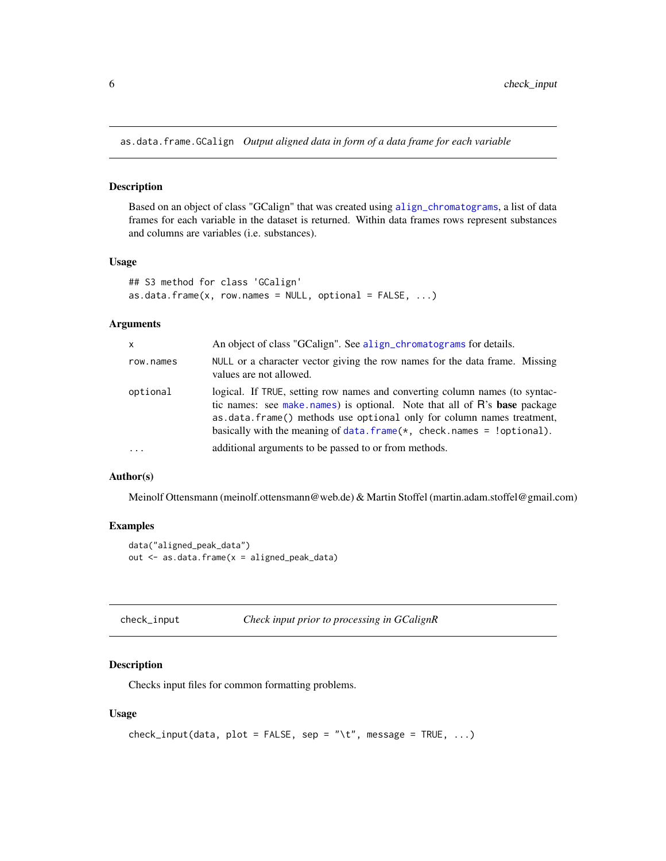<span id="page-5-1"></span><span id="page-5-0"></span>as.data.frame.GCalign *Output aligned data in form of a data frame for each variable*

#### Description

Based on an object of class "GCalign" that was created using [align\\_chromatograms](#page-2-1), a list of data frames for each variable in the dataset is returned. Within data frames rows represent substances and columns are variables (i.e. substances).

#### Usage

```
## S3 method for class 'GCalign'
as.data.frame(x, row.name = NULL, optional = FALSE, ...)
```
#### Arguments

| X          | An object of class "GCalign". See align_chromatograms for details.                                                                                                                                                                                                                                             |
|------------|----------------------------------------------------------------------------------------------------------------------------------------------------------------------------------------------------------------------------------------------------------------------------------------------------------------|
| row.names  | NULL or a character vector giving the row names for the data frame. Missing<br>values are not allowed.                                                                                                                                                                                                         |
| optional   | logical. If TRUE, setting row names and converting column names (to syntac-<br>tic names: see make names) is optional. Note that all of R's base package<br>as data. frame() methods use optional only for column names treatment,<br>basically with the meaning of data. $frame(*, check.names = !optional).$ |
| $\ddots$ . | additional arguments to be passed to or from methods.                                                                                                                                                                                                                                                          |
|            |                                                                                                                                                                                                                                                                                                                |

#### Author(s)

Meinolf Ottensmann (meinolf.ottensmann@web.de) & Martin Stoffel (martin.adam.stoffel@gmail.com)

## Examples

```
data("aligned_peak_data")
out <- as.data.frame(x = aligned_peak_data)
```
<span id="page-5-2"></span>

| check_input | Check input prior to processing in GCalignR |  |  |
|-------------|---------------------------------------------|--|--|
|-------------|---------------------------------------------|--|--|

## Description

Checks input files for common formatting problems.

#### Usage

```
check_input(data, plot = FALSE, sep = "\t", message = TRUE, ...)
```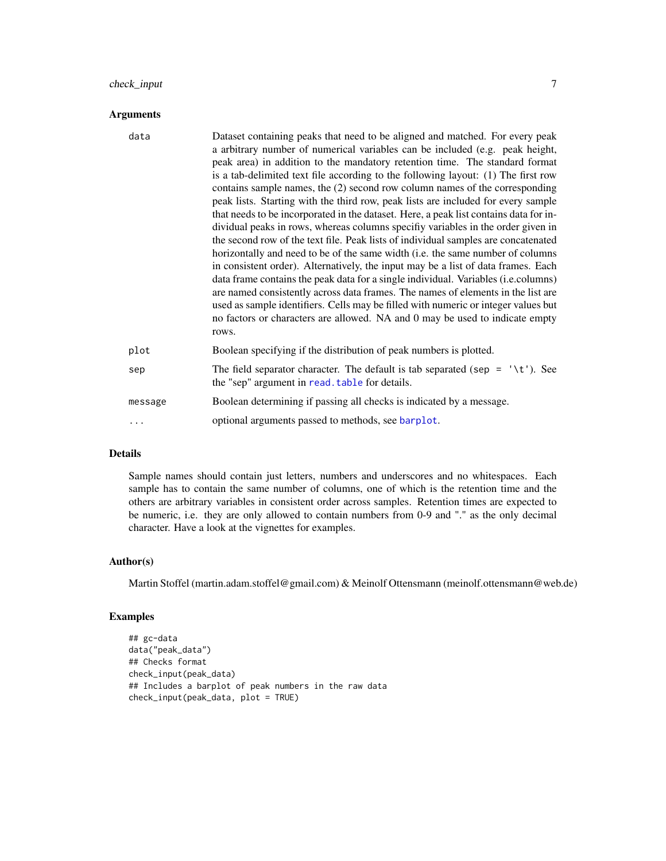## <span id="page-6-0"></span>check\_input 7

#### Arguments

| data    | Dataset containing peaks that need to be aligned and matched. For every peak<br>a arbitrary number of numerical variables can be included (e.g. peak height,<br>peak area) in addition to the mandatory retention time. The standard format<br>is a tab-delimited text file according to the following layout: (1) The first row<br>contains sample names, the (2) second row column names of the corresponding<br>peak lists. Starting with the third row, peak lists are included for every sample<br>that needs to be incorporated in the dataset. Here, a peak list contains data for in-<br>dividual peaks in rows, whereas columns specifiy variables in the order given in<br>the second row of the text file. Peak lists of individual samples are concatenated<br>horizontally and need to be of the same width (i.e. the same number of columns<br>in consistent order). Alternatively, the input may be a list of data frames. Each<br>data frame contains the peak data for a single individual. Variables ( <i>i.e.columns</i> )<br>are named consistently across data frames. The names of elements in the list are<br>used as sample identifiers. Cells may be filled with numeric or integer values but<br>no factors or characters are allowed. NA and 0 may be used to indicate empty<br>rows. |
|---------|------------------------------------------------------------------------------------------------------------------------------------------------------------------------------------------------------------------------------------------------------------------------------------------------------------------------------------------------------------------------------------------------------------------------------------------------------------------------------------------------------------------------------------------------------------------------------------------------------------------------------------------------------------------------------------------------------------------------------------------------------------------------------------------------------------------------------------------------------------------------------------------------------------------------------------------------------------------------------------------------------------------------------------------------------------------------------------------------------------------------------------------------------------------------------------------------------------------------------------------------------------------------------------------------------------------|
| plot    | Boolean specifying if the distribution of peak numbers is plotted.                                                                                                                                                                                                                                                                                                                                                                                                                                                                                                                                                                                                                                                                                                                                                                                                                                                                                                                                                                                                                                                                                                                                                                                                                                               |
| sep     | The field separator character. The default is tab separated (sep = $\prime \setminus t'$ ). See<br>the "sep" argument in read. table for details.                                                                                                                                                                                                                                                                                                                                                                                                                                                                                                                                                                                                                                                                                                                                                                                                                                                                                                                                                                                                                                                                                                                                                                |
| message | Boolean determining if passing all checks is indicated by a message.                                                                                                                                                                                                                                                                                                                                                                                                                                                                                                                                                                                                                                                                                                                                                                                                                                                                                                                                                                                                                                                                                                                                                                                                                                             |
| .       | optional arguments passed to methods, see barplot.                                                                                                                                                                                                                                                                                                                                                                                                                                                                                                                                                                                                                                                                                                                                                                                                                                                                                                                                                                                                                                                                                                                                                                                                                                                               |

## Details

Sample names should contain just letters, numbers and underscores and no whitespaces. Each sample has to contain the same number of columns, one of which is the retention time and the others are arbitrary variables in consistent order across samples. Retention times are expected to be numeric, i.e. they are only allowed to contain numbers from 0-9 and "." as the only decimal character. Have a look at the vignettes for examples.

#### Author(s)

Martin Stoffel (martin.adam.stoffel@gmail.com) & Meinolf Ottensmann (meinolf.ottensmann@web.de)

```
## gc-data
data("peak_data")
## Checks format
check_input(peak_data)
## Includes a barplot of peak numbers in the raw data
check_input(peak_data, plot = TRUE)
```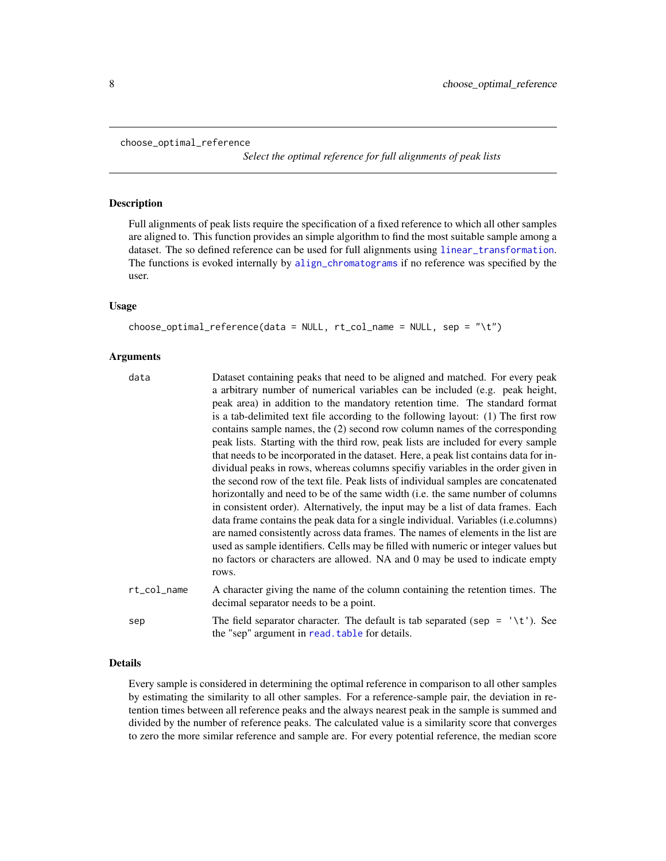```
choose_optimal_reference
```
*Select the optimal reference for full alignments of peak lists*

#### Description

Full alignments of peak lists require the specification of a fixed reference to which all other samples are aligned to. This function provides an simple algorithm to find the most suitable sample among a dataset. The so defined reference can be used for full alignments using [linear\\_transformation](#page-13-1). The functions is evoked internally by [align\\_chromatograms](#page-2-1) if no reference was specified by the user.

## Usage

```
choose_optimal_reference(data = NULL, rt_col_name = NULL, sep = "\t")
```
#### Arguments

| data        | Dataset containing peaks that need to be aligned and matched. For every peak<br>a arbitrary number of numerical variables can be included (e.g. peak height,<br>peak area) in addition to the mandatory retention time. The standard format<br>is a tab-delimited text file according to the following layout: (1) The first row<br>contains sample names, the (2) second row column names of the corresponding<br>peak lists. Starting with the third row, peak lists are included for every sample<br>that needs to be incorporated in the dataset. Here, a peak list contains data for in-<br>dividual peaks in rows, whereas columns specify variables in the order given in<br>the second row of the text file. Peak lists of individual samples are concatenated<br>horizontally and need to be of the same width (i.e. the same number of columns<br>in consistent order). Alternatively, the input may be a list of data frames. Each<br>data frame contains the peak data for a single individual. Variables (i.e.columns)<br>are named consistently across data frames. The names of elements in the list are<br>used as sample identifiers. Cells may be filled with numeric or integer values but<br>no factors or characters are allowed. NA and 0 may be used to indicate empty<br>rows. |
|-------------|--------------------------------------------------------------------------------------------------------------------------------------------------------------------------------------------------------------------------------------------------------------------------------------------------------------------------------------------------------------------------------------------------------------------------------------------------------------------------------------------------------------------------------------------------------------------------------------------------------------------------------------------------------------------------------------------------------------------------------------------------------------------------------------------------------------------------------------------------------------------------------------------------------------------------------------------------------------------------------------------------------------------------------------------------------------------------------------------------------------------------------------------------------------------------------------------------------------------------------------------------------------------------------------------------------|
| rt_col_name | A character giving the name of the column containing the retention times. The<br>decimal separator needs to be a point.                                                                                                                                                                                                                                                                                                                                                                                                                                                                                                                                                                                                                                                                                                                                                                                                                                                                                                                                                                                                                                                                                                                                                                                |
| sep         | The field separator character. The default is tab separated (sep = $\prime \setminus t'$ ). See<br>the "sep" argument in read. table for details.                                                                                                                                                                                                                                                                                                                                                                                                                                                                                                                                                                                                                                                                                                                                                                                                                                                                                                                                                                                                                                                                                                                                                      |

## Details

Every sample is considered in determining the optimal reference in comparison to all other samples by estimating the similarity to all other samples. For a reference-sample pair, the deviation in retention times between all reference peaks and the always nearest peak in the sample is summed and divided by the number of reference peaks. The calculated value is a similarity score that converges to zero the more similar reference and sample are. For every potential reference, the median score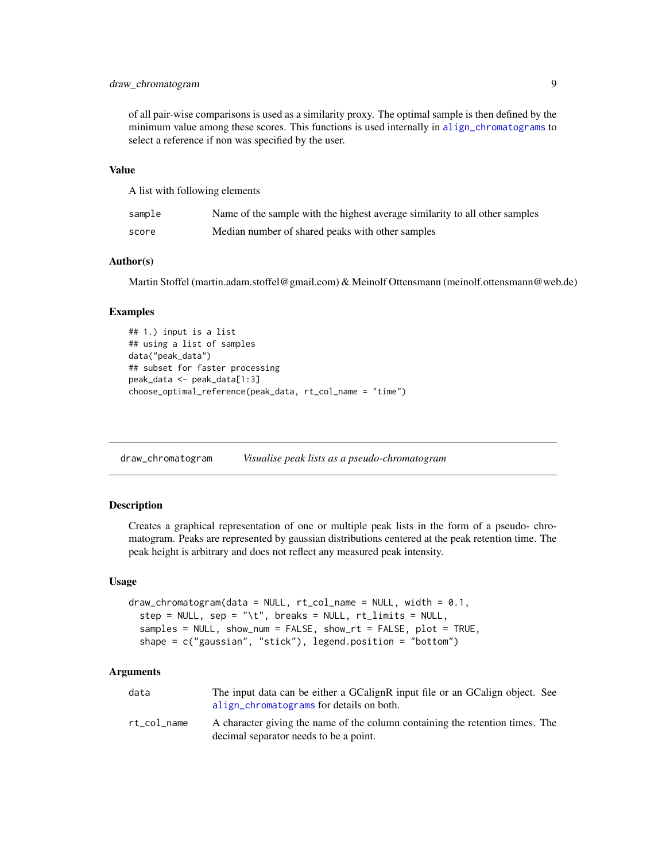## <span id="page-8-0"></span>draw\_chromatogram 9

of all pair-wise comparisons is used as a similarity proxy. The optimal sample is then defined by the minimum value among these scores. This functions is used internally in [align\\_chromatograms](#page-2-1) to select a reference if non was specified by the user.

### Value

A list with following elements

| sample | Name of the sample with the highest average similarity to all other samples |
|--------|-----------------------------------------------------------------------------|
| score  | Median number of shared peaks with other samples                            |

## Author(s)

Martin Stoffel (martin.adam.stoffel@gmail.com) & Meinolf Ottensmann (meinolf.ottensmann@web.de)

#### Examples

```
## 1.) input is a list
## using a list of samples
data("peak_data")
## subset for faster processing
peak_data <- peak_data[1:3]
choose_optimal_reference(peak_data, rt_col_name = "time")
```
<span id="page-8-1"></span>draw\_chromatogram *Visualise peak lists as a pseudo-chromatogram*

#### Description

Creates a graphical representation of one or multiple peak lists in the form of a pseudo- chromatogram. Peaks are represented by gaussian distributions centered at the peak retention time. The peak height is arbitrary and does not reflect any measured peak intensity.

#### Usage

```
draw_{\text{chromatogram}(data = NULL, rt_{\text{col_name}} = NULL, width = 0.1,step = NULL, sep = "\t", breaks = NULL, rt_limits = NULL,
  samples = NULL, show_num = FALSE, show_rt = FALSE, plot = TRUE,
  shape = c("gaussian", "stick"), legend.position = "bottom")
```
#### Arguments

| data        | The input data can be either a GCalignR input file or an GCalign object. See<br>align_chromatograms for details on both. |  |
|-------------|--------------------------------------------------------------------------------------------------------------------------|--|
| rt col name | A character giving the name of the column containing the retention times. The<br>decimal separator needs to be a point.  |  |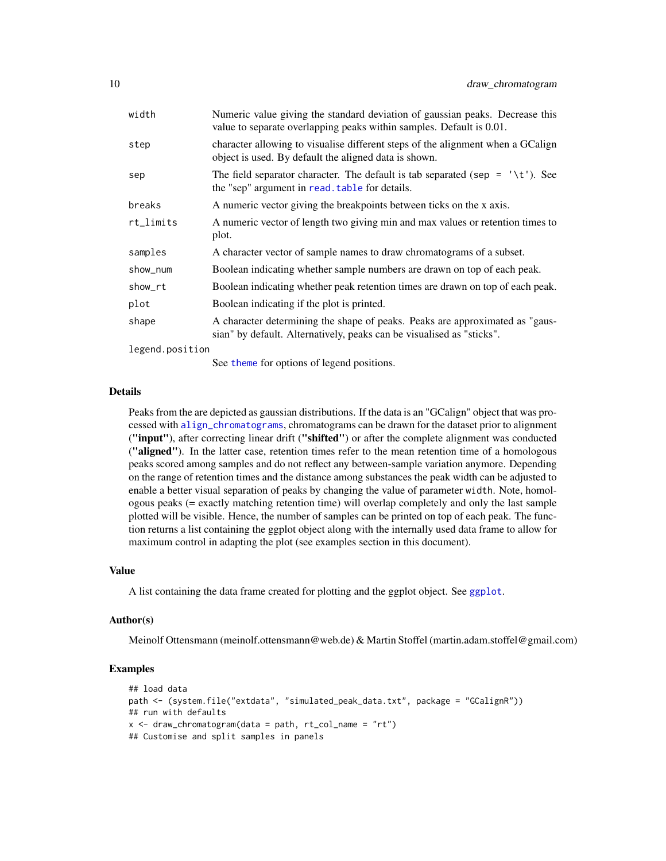<span id="page-9-0"></span>

| width           | Numeric value giving the standard deviation of gaussian peaks. Decrease this<br>value to separate overlapping peaks within samples. Default is 0.01.  |
|-----------------|-------------------------------------------------------------------------------------------------------------------------------------------------------|
| step            | character allowing to visualise different steps of the alignment when a GCalign<br>object is used. By default the aligned data is shown.              |
| sep             | The field separator character. The default is tab separated (sep = $\forall t$ ). See<br>the "sep" argument in read. table for details.               |
| breaks          | A numeric vector giving the breakpoints between ticks on the x axis.                                                                                  |
| rt_limits       | A numeric vector of length two giving min and max values or retention times to<br>plot.                                                               |
| samples         | A character vector of sample names to draw chromatograms of a subset.                                                                                 |
| show_num        | Boolean indicating whether sample numbers are drawn on top of each peak.                                                                              |
| show_rt         | Boolean indicating whether peak retention times are drawn on top of each peak.                                                                        |
| plot            | Boolean indicating if the plot is printed.                                                                                                            |
| shape           | A character determining the shape of peaks. Peaks are approximated as "gaus-<br>sian" by default. Alternatively, peaks can be visualised as "sticks". |
| legend.position |                                                                                                                                                       |

See [theme](#page-0-0) for options of legend positions.

#### Details

Peaks from the are depicted as gaussian distributions. If the data is an "GCalign" object that was processed with [align\\_chromatograms](#page-2-1), chromatograms can be drawn for the dataset prior to alignment ("input"), after correcting linear drift ("shifted") or after the complete alignment was conducted ("aligned"). In the latter case, retention times refer to the mean retention time of a homologous peaks scored among samples and do not reflect any between-sample variation anymore. Depending on the range of retention times and the distance among substances the peak width can be adjusted to enable a better visual separation of peaks by changing the value of parameter width. Note, homologous peaks (= exactly matching retention time) will overlap completely and only the last sample plotted will be visible. Hence, the number of samples can be printed on top of each peak. The function returns a list containing the ggplot object along with the internally used data frame to allow for maximum control in adapting the plot (see examples section in this document).

#### Value

A list containing the data frame created for plotting and the ggplot object. See [ggplot](#page-0-0).

#### Author(s)

Meinolf Ottensmann (meinolf.ottensmann@web.de) & Martin Stoffel (martin.adam.stoffel@gmail.com)

```
## load data
path <- (system.file("extdata", "simulated_peak_data.txt", package = "GCalignR"))
## run with defaults
x \le - draw_chromatogram(data = path, rt_col_name = "rt")
## Customise and split samples in panels
```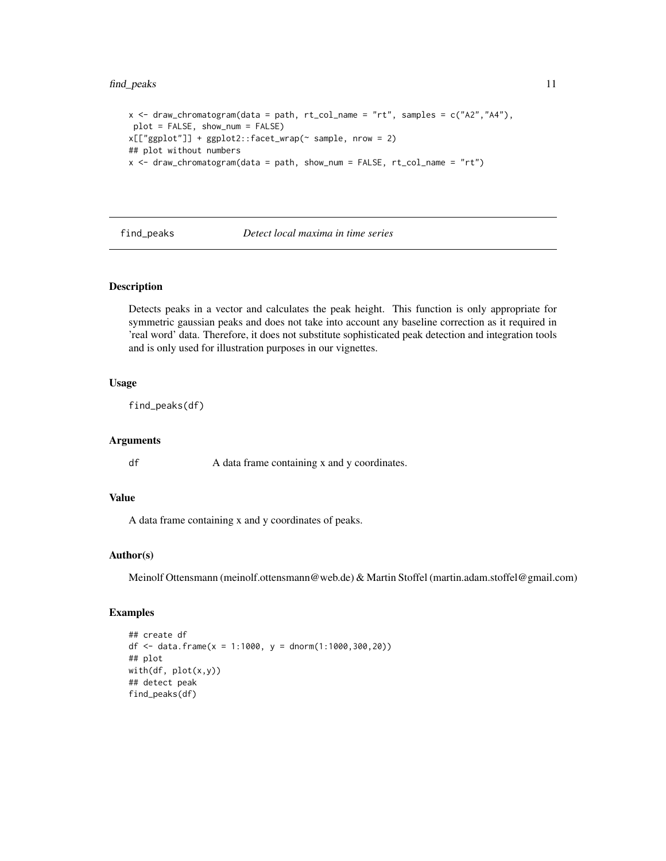## <span id="page-10-0"></span>find\_peaks 11

```
x \leq - draw_chromatogram(data = path, rt_col_name = "rt", samples = c("A2", "A4"),
plot = FALSE, show_num = FALSE)
x[["ggplot"]] + ggplot2::facet_wrap(~ sample, nrow = 2)
## plot without numbers
x \le - draw_chromatogram(data = path, show_num = FALSE, rt\_col_name = "rt")
```
<span id="page-10-1"></span>find\_peaks *Detect local maxima in time series*

## **Description**

Detects peaks in a vector and calculates the peak height. This function is only appropriate for symmetric gaussian peaks and does not take into account any baseline correction as it required in 'real word' data. Therefore, it does not substitute sophisticated peak detection and integration tools and is only used for illustration purposes in our vignettes.

## Usage

find\_peaks(df)

#### Arguments

df A data frame containing x and y coordinates.

## Value

A data frame containing x and y coordinates of peaks.

#### Author(s)

Meinolf Ottensmann (meinolf.ottensmann@web.de) & Martin Stoffel (martin.adam.stoffel@gmail.com)

```
## create df
df <- data.frame(x = 1:1000, y = dnorm(1:1000,300,20))
## plot
with(df, plot(x,y))
## detect peak
find_peaks(df)
```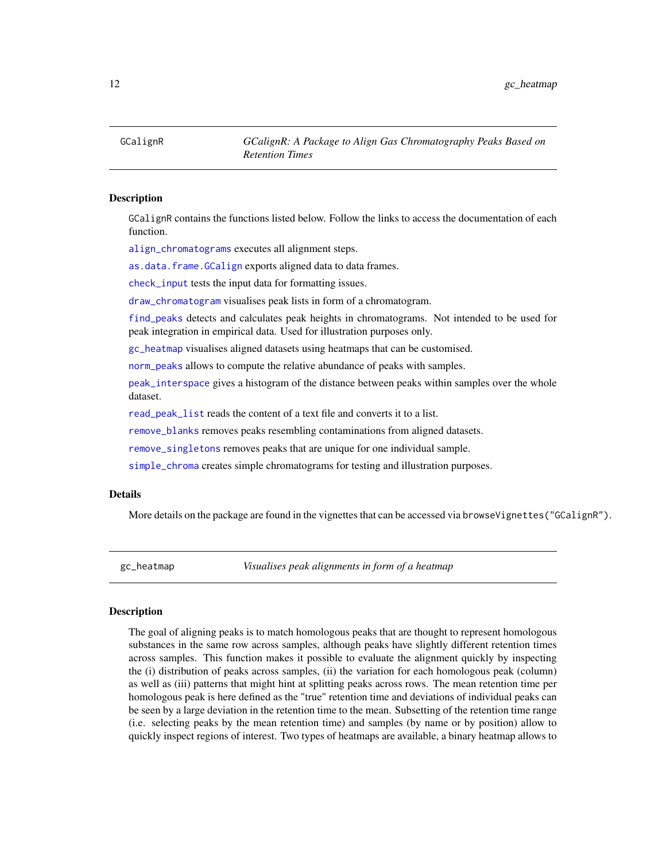<span id="page-11-2"></span><span id="page-11-0"></span>GCalignR *GCalignR: A Package to Align Gas Chromatography Peaks Based on Retention Times*

#### Description

GCalignR contains the functions listed below. Follow the links to access the documentation of each function.

[align\\_chromatograms](#page-2-1) executes all alignment steps.

[as.data.frame.GCalign](#page-5-1) exports aligned data to data frames.

[check\\_input](#page-5-2) tests the input data for formatting issues.

[draw\\_chromatogram](#page-8-1) visualises peak lists in form of a chromatogram.

[find\\_peaks](#page-10-1) detects and calculates peak heights in chromatograms. Not intended to be used for peak integration in empirical data. Used for illustration purposes only.

[gc\\_heatmap](#page-11-1) visualises aligned datasets using heatmaps that can be customised.

[norm\\_peaks](#page-16-1) allows to compute the relative abundance of peaks with samples.

[peak\\_interspace](#page-18-1) gives a histogram of the distance between peaks within samples over the whole dataset.

[read\\_peak\\_list](#page-21-1) reads the content of a text file and converts it to a list.

[remove\\_blanks](#page-22-1) removes peaks resembling contaminations from aligned datasets.

[remove\\_singletons](#page-23-1) removes peaks that are unique for one individual sample.

[simple\\_chroma](#page-23-2) creates simple chromatograms for testing and illustration purposes.

#### Details

More details on the package are found in the vignettes that can be accessed via browseVignettes("GCalignR").

<span id="page-11-1"></span>gc\_heatmap *Visualises peak alignments in form of a heatmap*

#### Description

The goal of aligning peaks is to match homologous peaks that are thought to represent homologous substances in the same row across samples, although peaks have slightly different retention times across samples. This function makes it possible to evaluate the alignment quickly by inspecting the (i) distribution of peaks across samples, (ii) the variation for each homologous peak (column) as well as (iii) patterns that might hint at splitting peaks across rows. The mean retention time per homologous peak is here defined as the "true" retention time and deviations of individual peaks can be seen by a large deviation in the retention time to the mean. Subsetting of the retention time range (i.e. selecting peaks by the mean retention time) and samples (by name or by position) allow to quickly inspect regions of interest. Two types of heatmaps are available, a binary heatmap allows to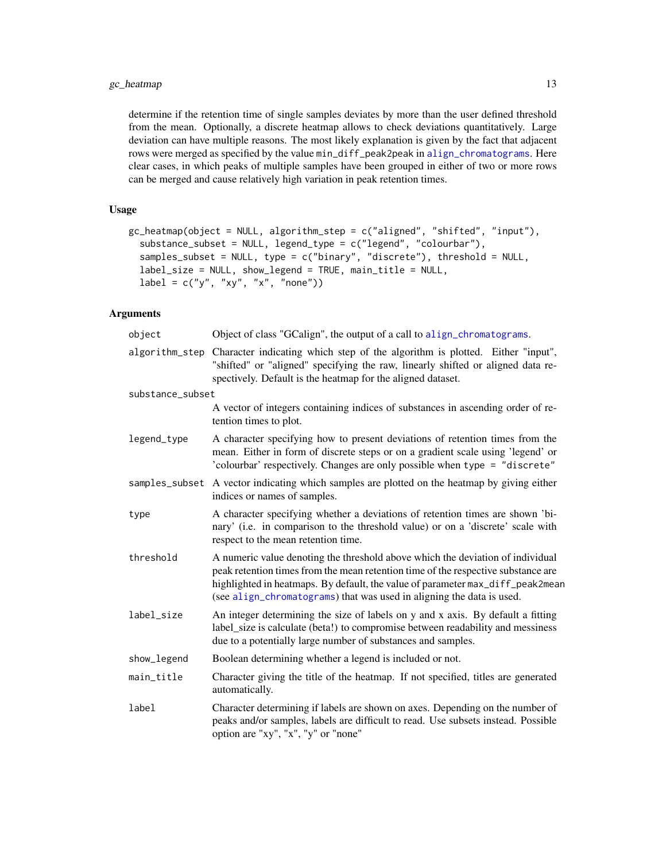## gc\_heatmap 13

determine if the retention time of single samples deviates by more than the user defined threshold from the mean. Optionally, a discrete heatmap allows to check deviations quantitatively. Large deviation can have multiple reasons. The most likely explanation is given by the fact that adjacent rows were merged as specified by the value min\_diff\_peak2peak in [align\\_chromatograms](#page-2-1). Here clear cases, in which peaks of multiple samples have been grouped in either of two or more rows can be merged and cause relatively high variation in peak retention times.

## Usage

```
gc_heatmap(object = NULL, algorithm_step = c("aligned", "shifted", "input"),
  substance_subset = NULL, legend_type = c("legend", "colourbar"),
  samples_subset = NULL, type = c("binary", "discrete"), threshold = NULL,
  label_size = NULL, show_legend = TRUE, main_title = NULL,
  label = c("y", "xy", "x", "none")
```
## Arguments

| object           | Object of class "GCalign", the output of a call to align_chromatograms.                                                                                                                                                                                                                                                        |
|------------------|--------------------------------------------------------------------------------------------------------------------------------------------------------------------------------------------------------------------------------------------------------------------------------------------------------------------------------|
| algorithm_step   | Character indicating which step of the algorithm is plotted. Either "input",<br>"shifted" or "aligned" specifying the raw, linearly shifted or aligned data re-<br>spectively. Default is the heatmap for the aligned dataset.                                                                                                 |
| substance_subset |                                                                                                                                                                                                                                                                                                                                |
|                  | A vector of integers containing indices of substances in ascending order of re-<br>tention times to plot.                                                                                                                                                                                                                      |
| legend_type      | A character specifying how to present deviations of retention times from the<br>mean. Either in form of discrete steps or on a gradient scale using 'legend' or<br>'colourbar' respectively. Changes are only possible when type = "discrete"                                                                                  |
|                  | samples_subset A vector indicating which samples are plotted on the heatmap by giving either<br>indices or names of samples.                                                                                                                                                                                                   |
| type             | A character specifying whether a deviations of retention times are shown 'bi-<br>nary' (i.e. in comparison to the threshold value) or on a 'discrete' scale with<br>respect to the mean retention time.                                                                                                                        |
| threshold        | A numeric value denoting the threshold above which the deviation of individual<br>peak retention times from the mean retention time of the respective substance are<br>highlighted in heatmaps. By default, the value of parameter max_diff_peak2mean<br>(see align_chromatograms) that was used in aligning the data is used. |
| label_size       | An integer determining the size of labels on y and x axis. By default a fitting<br>label_size is calculate (beta!) to compromise between readability and messiness<br>due to a potentially large number of substances and samples.                                                                                             |
| show_legend      | Boolean determining whether a legend is included or not.                                                                                                                                                                                                                                                                       |
| main_title       | Character giving the title of the heatmap. If not specified, titles are generated<br>automatically.                                                                                                                                                                                                                            |
| label            | Character determining if labels are shown on axes. Depending on the number of<br>peaks and/or samples, labels are difficult to read. Use subsets instead. Possible<br>option are "xy", "x", "y" or "none"                                                                                                                      |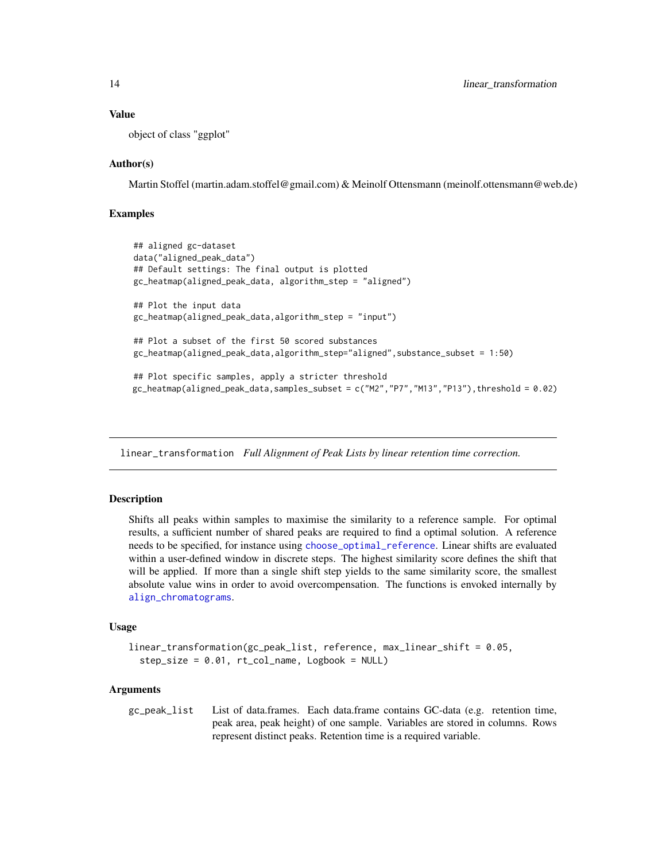#### Value

object of class "ggplot"

## Author(s)

Martin Stoffel (martin.adam.stoffel@gmail.com) & Meinolf Ottensmann (meinolf.ottensmann@web.de)

#### Examples

```
## aligned gc-dataset
data("aligned_peak_data")
## Default settings: The final output is plotted
gc_heatmap(aligned_peak_data, algorithm_step = "aligned")
## Plot the input data
gc_heatmap(aligned_peak_data,algorithm_step = "input")
## Plot a subset of the first 50 scored substances
gc_heatmap(aligned_peak_data,algorithm_step="aligned",substance_subset = 1:50)
## Plot specific samples, apply a stricter threshold
gc_heatmap(aligned_peak_data,samples_subset = c("M2","P7","M13","P13"),threshold = 0.02)
```
<span id="page-13-1"></span>linear\_transformation *Full Alignment of Peak Lists by linear retention time correction.*

#### Description

Shifts all peaks within samples to maximise the similarity to a reference sample. For optimal results, a sufficient number of shared peaks are required to find a optimal solution. A reference needs to be specified, for instance using [choose\\_optimal\\_reference](#page-7-1). Linear shifts are evaluated within a user-defined window in discrete steps. The highest similarity score defines the shift that will be applied. If more than a single shift step yields to the same similarity score, the smallest absolute value wins in order to avoid overcompensation. The functions is envoked internally by [align\\_chromatograms](#page-2-1).

#### Usage

```
linear_transformation(gc_peak_list, reference, max_linear_shift = 0.05,
  step_size = 0.01, rt_col_name, Logbook = NULL)
```
#### Arguments

gc\_peak\_list List of data.frames. Each data.frame contains GC-data (e.g. retention time, peak area, peak height) of one sample. Variables are stored in columns. Rows represent distinct peaks. Retention time is a required variable.

<span id="page-13-0"></span>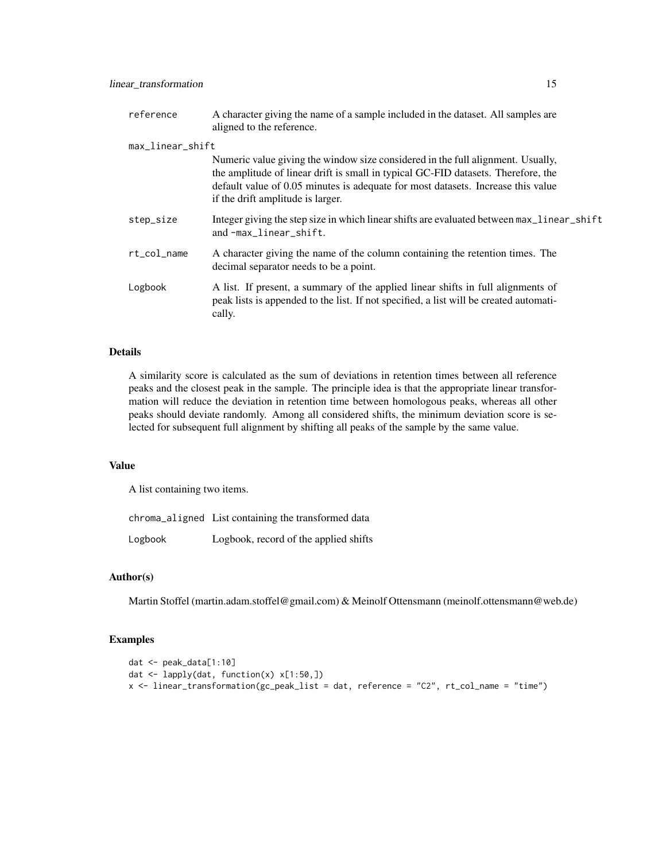| reference        | A character giving the name of a sample included in the dataset. All samples are<br>aligned to the reference.                                                                                                                                                                                 |
|------------------|-----------------------------------------------------------------------------------------------------------------------------------------------------------------------------------------------------------------------------------------------------------------------------------------------|
| max_linear_shift |                                                                                                                                                                                                                                                                                               |
|                  | Numeric value giving the window size considered in the full alignment. Usually,<br>the amplitude of linear drift is small in typical GC-FID datasets. Therefore, the<br>default value of 0.05 minutes is adequate for most datasets. Increase this value<br>if the drift amplitude is larger. |
| step_size        | Integer giving the step size in which linear shifts are evaluated between max_linear_shift<br>and-max_linear_shift.                                                                                                                                                                           |
| rt_col_name      | A character giving the name of the column containing the retention times. The<br>decimal separator needs to be a point.                                                                                                                                                                       |
| Logbook          | A list. If present, a summary of the applied linear shifts in full alignments of<br>peak lists is appended to the list. If not specified, a list will be created automati-<br>cally.                                                                                                          |

#### Details

A similarity score is calculated as the sum of deviations in retention times between all reference peaks and the closest peak in the sample. The principle idea is that the appropriate linear transformation will reduce the deviation in retention time between homologous peaks, whereas all other peaks should deviate randomly. Among all considered shifts, the minimum deviation score is selected for subsequent full alignment by shifting all peaks of the sample by the same value.

## Value

A list containing two items.

chroma\_aligned List containing the transformed data

Logbook Logbook, record of the applied shifts

#### Author(s)

Martin Stoffel (martin.adam.stoffel@gmail.com) & Meinolf Ottensmann (meinolf.ottensmann@web.de)

```
dat <- peak_data[1:10]
dat <- lapply(dat, function(x) x[1:50,])
x <- linear_transformation(gc_peak_list = dat, reference = "C2", rt_col_name = "time")
```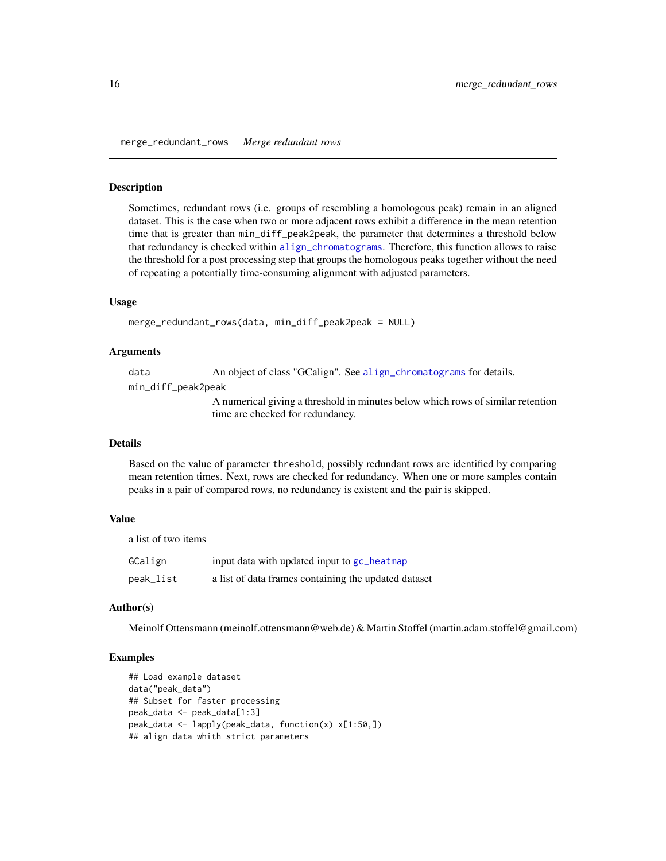<span id="page-15-0"></span>merge\_redundant\_rows *Merge redundant rows*

#### Description

Sometimes, redundant rows (i.e. groups of resembling a homologous peak) remain in an aligned dataset. This is the case when two or more adjacent rows exhibit a difference in the mean retention time that is greater than min\_diff\_peak2peak, the parameter that determines a threshold below that redundancy is checked within [align\\_chromatograms](#page-2-1). Therefore, this function allows to raise the threshold for a post processing step that groups the homologous peaks together without the need of repeating a potentially time-consuming alignment with adjusted parameters.

#### Usage

```
merge_redundant_rows(data, min_diff_peak2peak = NULL)
```
#### Arguments

data An object of class "GCalign". See [align\\_chromatograms](#page-2-1) for details.

min\_diff\_peak2peak

A numerical giving a threshold in minutes below which rows of similar retention time are checked for redundancy.

#### Details

Based on the value of parameter threshold, possibly redundant rows are identified by comparing mean retention times. Next, rows are checked for redundancy. When one or more samples contain peaks in a pair of compared rows, no redundancy is existent and the pair is skipped.

#### Value

a list of two items

| GCalign   | input data with updated input to gc_heatmap          |
|-----------|------------------------------------------------------|
| peak_list | a list of data frames containing the updated dataset |

#### Author(s)

Meinolf Ottensmann (meinolf.ottensmann@web.de) & Martin Stoffel (martin.adam.stoffel@gmail.com)

```
## Load example dataset
data("peak_data")
## Subset for faster processing
peak_data <- peak_data[1:3]
peak_data <- lapply(peak_data, function(x) x[1:50,])
## align data whith strict parameters
```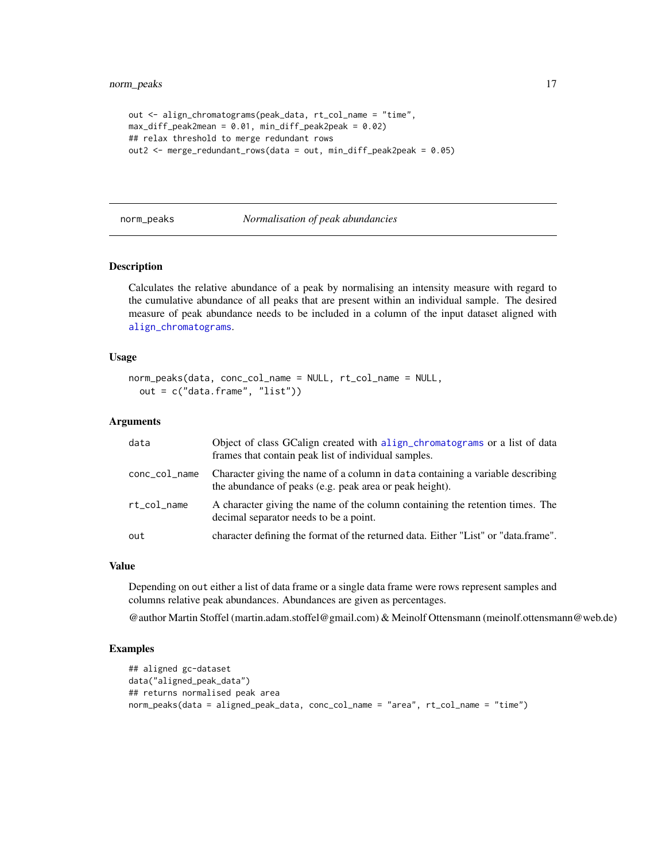```
out <- align_chromatograms(peak_data, rt_col_name = "time",
max_diff_peak2mean = 0.01, min_diff_peak2peak = 0.02)
## relax threshold to merge redundant rows
out2 <- merge_redundant_rows(data = out, min_diff_peak2peak = 0.05)
```
#### <span id="page-16-1"></span>norm\_peaks *Normalisation of peak abundancies*

#### Description

Calculates the relative abundance of a peak by normalising an intensity measure with regard to the cumulative abundance of all peaks that are present within an individual sample. The desired measure of peak abundance needs to be included in a column of the input dataset aligned with [align\\_chromatograms](#page-2-1).

#### Usage

```
norm_peaks(data, conc_col_name = NULL, rt_col_name = NULL,
 out = c("data.frame", "list"))
```
#### Arguments

| data          | Object of class GCalign created with a lign_chromatograms or a list of data<br>frames that contain peak list of individual samples.       |
|---------------|-------------------------------------------------------------------------------------------------------------------------------------------|
| conc_col_name | Character giving the name of a column in data containing a variable describing<br>the abundance of peaks (e.g. peak area or peak height). |
| rt col name   | A character giving the name of the column containing the retention times. The<br>decimal separator needs to be a point.                   |
| out           | character defining the format of the returned data. Either "List" or "data.frame".                                                        |

#### Value

Depending on out either a list of data frame or a single data frame were rows represent samples and columns relative peak abundances. Abundances are given as percentages.

@author Martin Stoffel (martin.adam.stoffel@gmail.com) & Meinolf Ottensmann (meinolf.ottensmann@web.de)

```
## aligned gc-dataset
data("aligned_peak_data")
## returns normalised peak area
norm_peaks(data = aligned_peak_data, conc_col_name = "area", rt_col_name = "time")
```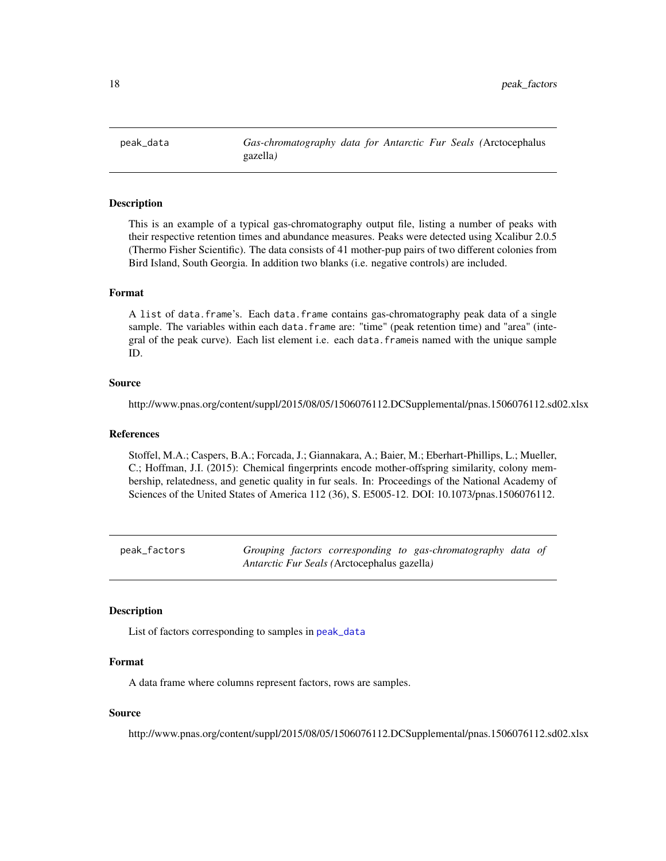<span id="page-17-1"></span><span id="page-17-0"></span>peak\_data *Gas-chromatography data for Antarctic Fur Seals (*Arctocephalus gazella*)*

#### Description

This is an example of a typical gas-chromatography output file, listing a number of peaks with their respective retention times and abundance measures. Peaks were detected using Xcalibur 2.0.5 (Thermo Fisher Scientific). The data consists of 41 mother-pup pairs of two different colonies from Bird Island, South Georgia. In addition two blanks (i.e. negative controls) are included.

## Format

A list of data.frame's. Each data.frame contains gas-chromatography peak data of a single sample. The variables within each data.frame are: "time" (peak retention time) and "area" (integral of the peak curve). Each list element i.e. each data.frameis named with the unique sample ID.

#### Source

http://www.pnas.org/content/suppl/2015/08/05/1506076112.DCSupplemental/pnas.1506076112.sd02.xlsx

#### References

Stoffel, M.A.; Caspers, B.A.; Forcada, J.; Giannakara, A.; Baier, M.; Eberhart-Phillips, L.; Mueller, C.; Hoffman, J.I. (2015): Chemical fingerprints encode mother-offspring similarity, colony membership, relatedness, and genetic quality in fur seals. In: Proceedings of the National Academy of Sciences of the United States of America 112 (36), S. E5005-12. DOI: 10.1073/pnas.1506076112.

peak\_factors *Grouping factors corresponding to gas-chromatography data of Antarctic Fur Seals (*Arctocephalus gazella*)*

#### Description

List of factors corresponding to samples in [peak\\_data](#page-17-1)

#### Format

A data frame where columns represent factors, rows are samples.

### Source

http://www.pnas.org/content/suppl/2015/08/05/1506076112.DCSupplemental/pnas.1506076112.sd02.xlsx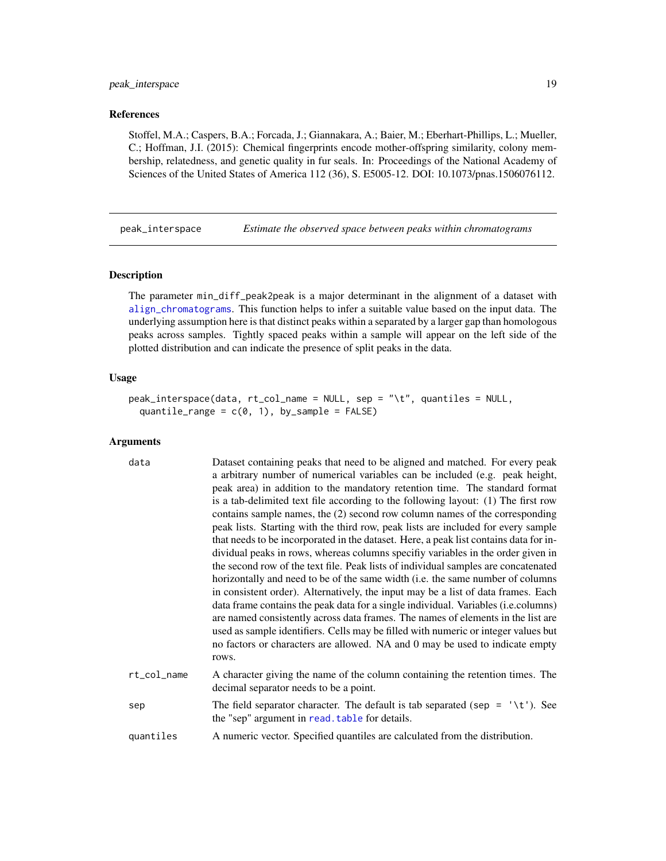## <span id="page-18-0"></span>peak\_interspace 19

#### References

Stoffel, M.A.; Caspers, B.A.; Forcada, J.; Giannakara, A.; Baier, M.; Eberhart-Phillips, L.; Mueller, C.; Hoffman, J.I. (2015): Chemical fingerprints encode mother-offspring similarity, colony membership, relatedness, and genetic quality in fur seals. In: Proceedings of the National Academy of Sciences of the United States of America 112 (36), S. E5005-12. DOI: 10.1073/pnas.1506076112.

<span id="page-18-1"></span>peak\_interspace *Estimate the observed space between peaks within chromatograms*

#### Description

The parameter min\_diff\_peak2peak is a major determinant in the alignment of a dataset with [align\\_chromatograms](#page-2-1). This function helps to infer a suitable value based on the input data. The underlying assumption here is that distinct peaks within a separated by a larger gap than homologous peaks across samples. Tightly spaced peaks within a sample will appear on the left side of the plotted distribution and can indicate the presence of split peaks in the data.

#### Usage

```
peak_interspace(data, rt_col_name = NULL, sep = "\t", quantiles = NULL,
  quantile_range = c(0, 1), by_sample = FALSE)
```
#### Arguments

| data        | Dataset containing peaks that need to be aligned and matched. For every peak<br>a arbitrary number of numerical variables can be included (e.g. peak height,<br>peak area) in addition to the mandatory retention time. The standard format<br>is a tab-delimited text file according to the following layout: (1) The first row<br>contains sample names, the (2) second row column names of the corresponding<br>peak lists. Starting with the third row, peak lists are included for every sample<br>that needs to be incorporated in the dataset. Here, a peak list contains data for in-<br>dividual peaks in rows, whereas columns specify variables in the order given in<br>the second row of the text file. Peak lists of individual samples are concatenated<br>horizontally and need to be of the same width (i.e. the same number of columns<br>in consistent order). Alternatively, the input may be a list of data frames. Each<br>data frame contains the peak data for a single individual. Variables (i.e.columns)<br>are named consistently across data frames. The names of elements in the list are<br>used as sample identifiers. Cells may be filled with numeric or integer values but<br>no factors or characters are allowed. NA and 0 may be used to indicate empty<br>rows. |
|-------------|--------------------------------------------------------------------------------------------------------------------------------------------------------------------------------------------------------------------------------------------------------------------------------------------------------------------------------------------------------------------------------------------------------------------------------------------------------------------------------------------------------------------------------------------------------------------------------------------------------------------------------------------------------------------------------------------------------------------------------------------------------------------------------------------------------------------------------------------------------------------------------------------------------------------------------------------------------------------------------------------------------------------------------------------------------------------------------------------------------------------------------------------------------------------------------------------------------------------------------------------------------------------------------------------------------|
| rt_col_name | A character giving the name of the column containing the retention times. The<br>decimal separator needs to be a point.                                                                                                                                                                                                                                                                                                                                                                                                                                                                                                                                                                                                                                                                                                                                                                                                                                                                                                                                                                                                                                                                                                                                                                                |
| sep         | The field separator character. The default is tab separated (sep = $\forall t$ ). See<br>the "sep" argument in read. table for details.                                                                                                                                                                                                                                                                                                                                                                                                                                                                                                                                                                                                                                                                                                                                                                                                                                                                                                                                                                                                                                                                                                                                                                |
| quantiles   | A numeric vector. Specified quantiles are calculated from the distribution.                                                                                                                                                                                                                                                                                                                                                                                                                                                                                                                                                                                                                                                                                                                                                                                                                                                                                                                                                                                                                                                                                                                                                                                                                            |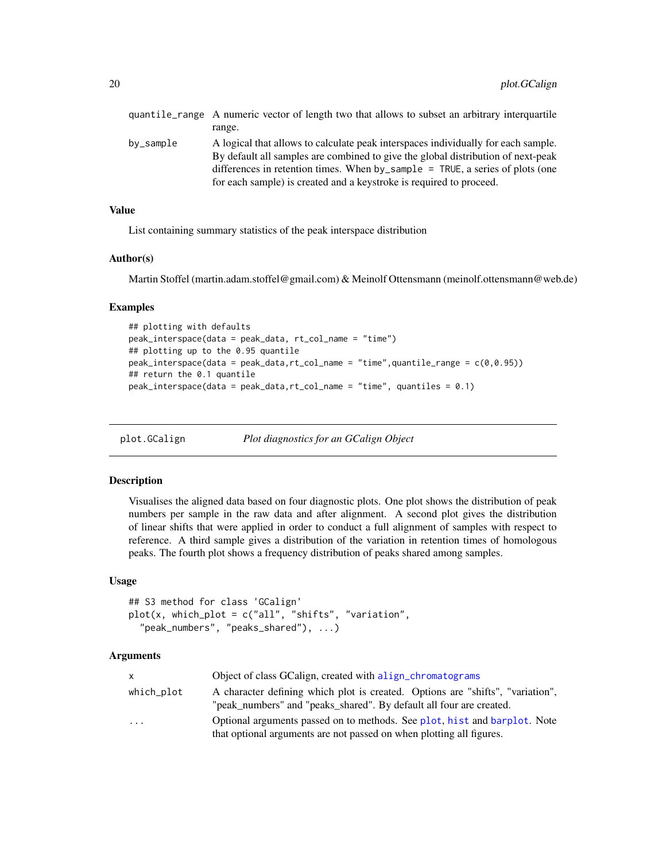<span id="page-19-0"></span>

|           | quantile_range A numeric vector of length two that allows to subset an arbitrary interquartile                                                                                                                                                                                                                                |
|-----------|-------------------------------------------------------------------------------------------------------------------------------------------------------------------------------------------------------------------------------------------------------------------------------------------------------------------------------|
|           | range.                                                                                                                                                                                                                                                                                                                        |
| bv_sample | A logical that allows to calculate peak interspaces individually for each sample.<br>By default all samples are combined to give the global distribution of next-peak<br>differences in retention times. When by_sample = TRUE, a series of plots (one<br>for each sample) is created and a keystroke is required to proceed. |

## Value

List containing summary statistics of the peak interspace distribution

#### Author(s)

Martin Stoffel (martin.adam.stoffel@gmail.com) & Meinolf Ottensmann (meinolf.ottensmann@web.de)

#### Examples

```
## plotting with defaults
peak_interspace(data = peak_data, rt_col_name = "time")
## plotting up to the 0.95 quantile
peak_interspace(data = peak_data,rt_col_name = "time",quantile_range = c(0,0.95))
## return the 0.1 quantile
peak_interspace(data = peak_data,rt_col_name = "time", quantiles = 0.1)
```
plot.GCalign *Plot diagnostics for an GCalign Object*

#### Description

Visualises the aligned data based on four diagnostic plots. One plot shows the distribution of peak numbers per sample in the raw data and after alignment. A second plot gives the distribution of linear shifts that were applied in order to conduct a full alignment of samples with respect to reference. A third sample gives a distribution of the variation in retention times of homologous peaks. The fourth plot shows a frequency distribution of peaks shared among samples.

## Usage

```
## S3 method for class 'GCalign'
plot(x, which_plot = c("all", "shifts", "variation",
  "peak_numbers", "peaks_shared"), ...)
```
#### Arguments

| X          | Object of class GCalign, created with align_chromatograms                                                                                             |
|------------|-------------------------------------------------------------------------------------------------------------------------------------------------------|
| which_plot | A character defining which plot is created. Options are "shifts", "variation",<br>"peak_numbers" and "peaks_shared". By default all four are created. |
| $\cdot$    | Optional arguments passed on to methods. See plot, hist and barplot. Note<br>that optional arguments are not passed on when plotting all figures.     |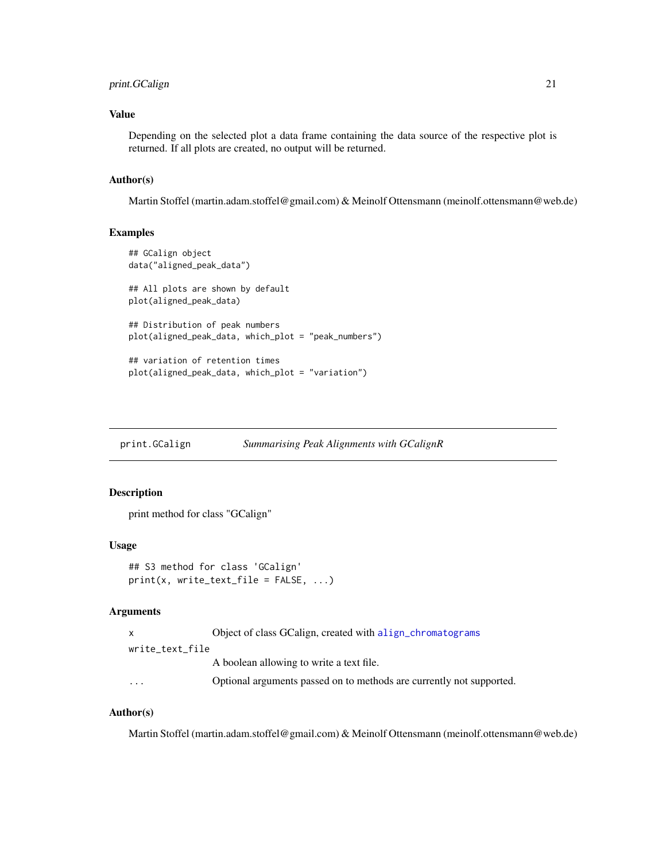## <span id="page-20-0"></span>print.GCalign 21

## Value

Depending on the selected plot a data frame containing the data source of the respective plot is returned. If all plots are created, no output will be returned.

#### Author(s)

Martin Stoffel (martin.adam.stoffel@gmail.com) & Meinolf Ottensmann (meinolf.ottensmann@web.de)

## Examples

```
## GCalign object
data("aligned_peak_data")
## All plots are shown by default
plot(aligned_peak_data)
## Distribution of peak numbers
plot(aligned_peak_data, which_plot = "peak_numbers")
## variation of retention times
plot(aligned_peak_data, which_plot = "variation")
```
<span id="page-20-1"></span>print.GCalign *Summarising Peak Alignments with GCalignR*

#### Description

print method for class "GCalign"

#### Usage

```
## S3 method for class 'GCalign'
print(x, write_test_file = FALSE, ...)
```
#### Arguments

|                         | Object of class GCalign, created with align_chromatograms            |
|-------------------------|----------------------------------------------------------------------|
| write text file         |                                                                      |
|                         | A boolean allowing to write a text file.                             |
| $\cdot$ $\cdot$ $\cdot$ | Optional arguments passed on to methods are currently not supported. |

## Author(s)

Martin Stoffel (martin.adam.stoffel@gmail.com) & Meinolf Ottensmann (meinolf.ottensmann@web.de)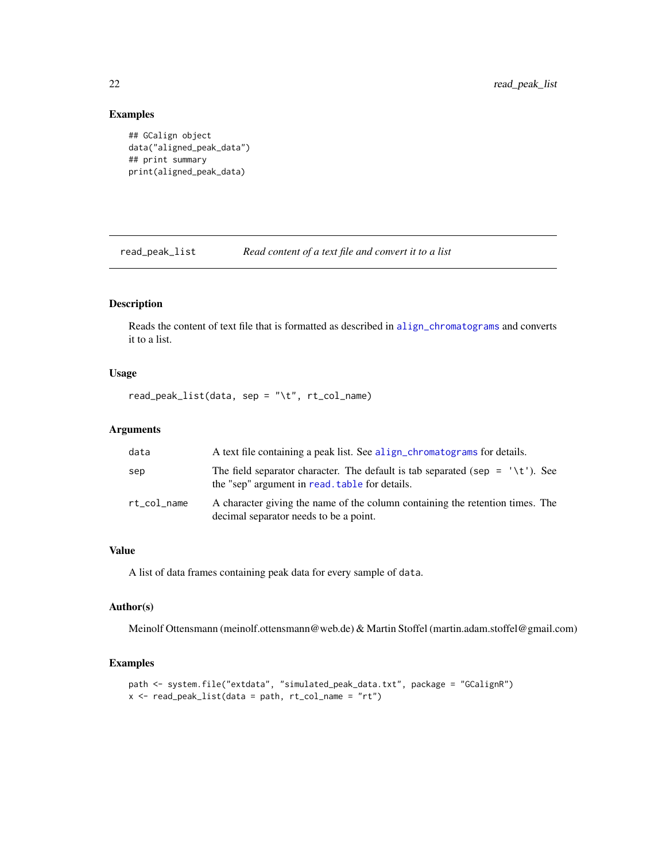## Examples

```
## GCalign object
data("aligned_peak_data")
## print summary
print(aligned_peak_data)
```
<span id="page-21-1"></span>read\_peak\_list *Read content of a text file and convert it to a list*

## Description

Reads the content of text file that is formatted as described in [align\\_chromatograms](#page-2-1) and converts it to a list.

## Usage

read\_peak\_list(data, sep = "\t", rt\_col\_name)

## Arguments

| data        | A text file containing a peak list. See align_chromatograms for details.                                                                |
|-------------|-----------------------------------------------------------------------------------------------------------------------------------------|
| sep         | The field separator character. The default is tab separated (sep = $\forall t$ ). See<br>the "sep" argument in read, table for details. |
| rt_col_name | A character giving the name of the column containing the retention times. The<br>decimal separator needs to be a point.                 |

## Value

A list of data frames containing peak data for every sample of data.

## Author(s)

Meinolf Ottensmann (meinolf.ottensmann@web.de) & Martin Stoffel (martin.adam.stoffel@gmail.com)

```
path <- system.file("extdata", "simulated_peak_data.txt", package = "GCalignR")
x \le read_peak_list(data = path, rt_{col\_name} = "rt")
```
<span id="page-21-0"></span>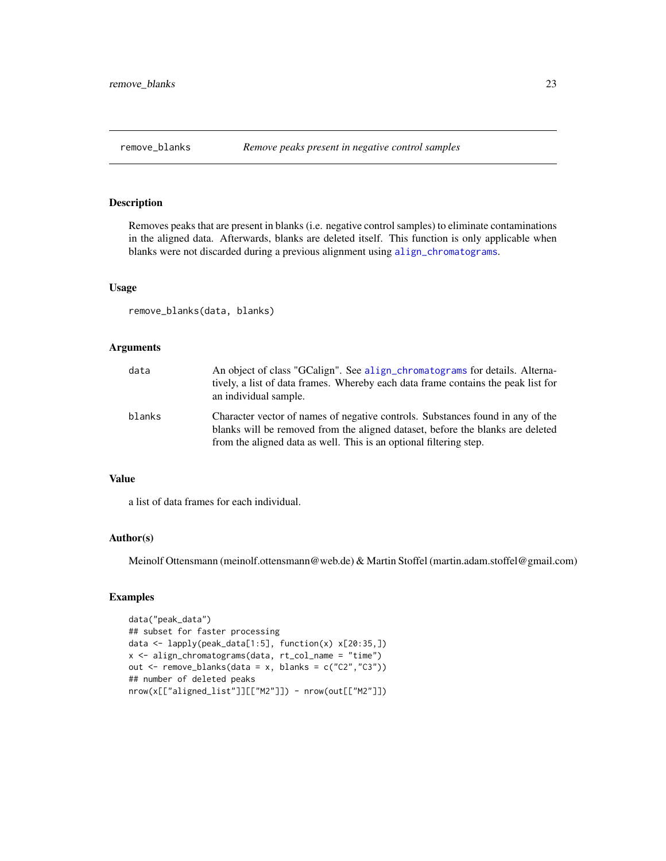<span id="page-22-1"></span><span id="page-22-0"></span>

## Description

Removes peaks that are present in blanks (i.e. negative control samples) to eliminate contaminations in the aligned data. Afterwards, blanks are deleted itself. This function is only applicable when blanks were not discarded during a previous alignment using [align\\_chromatograms](#page-2-1).

#### Usage

remove\_blanks(data, blanks)

#### Arguments

| data   | An object of class "GCalign". See align_chromatograms for details. Alterna-<br>tively, a list of data frames. Whereby each data frame contains the peak list for<br>an individual sample.                                              |
|--------|----------------------------------------------------------------------------------------------------------------------------------------------------------------------------------------------------------------------------------------|
| blanks | Character vector of names of negative controls. Substances found in any of the<br>blanks will be removed from the aligned dataset, before the blanks are deleted<br>from the aligned data as well. This is an optional filtering step. |

## Value

a list of data frames for each individual.

#### Author(s)

Meinolf Ottensmann (meinolf.ottensmann@web.de) & Martin Stoffel (martin.adam.stoffel@gmail.com)

```
data("peak_data")
## subset for faster processing
data <- lapply(peak_data[1:5], function(x) x[20:35,])
x <- align_chromatograms(data, rt_col_name = "time")
out <- remove_blanks(data = x, blanks = c("C2","C3"))
## number of deleted peaks
nrow(x[["aligned_list"]][["M2"]]) - nrow(out[["M2"]])
```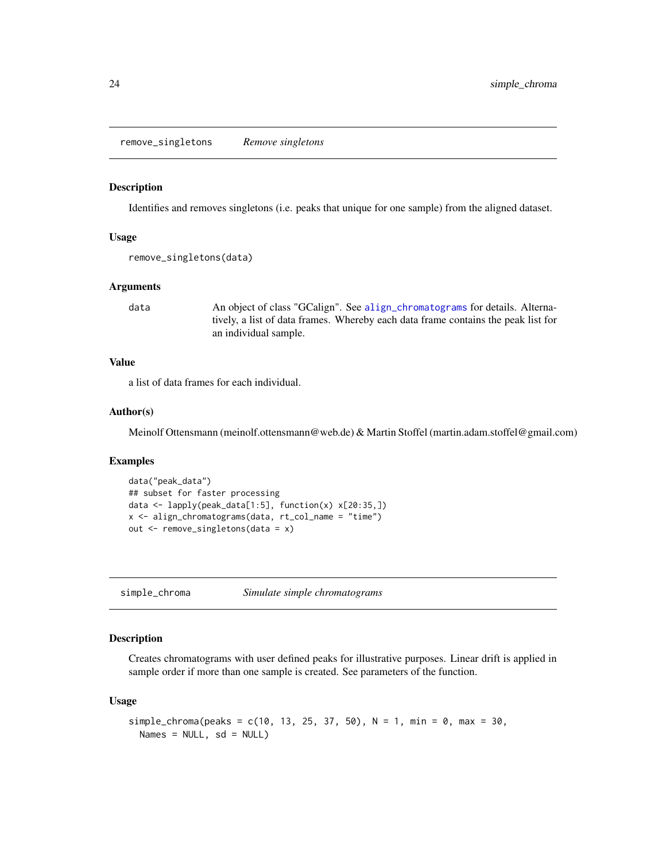<span id="page-23-1"></span><span id="page-23-0"></span>remove\_singletons *Remove singletons*

#### Description

Identifies and removes singletons (i.e. peaks that unique for one sample) from the aligned dataset.

#### Usage

```
remove_singletons(data)
```
#### Arguments

data An object of class "GCalign". See [align\\_chromatograms](#page-2-1) for details. Alternatively, a list of data frames. Whereby each data frame contains the peak list for an individual sample.

## Value

a list of data frames for each individual.

## Author(s)

Meinolf Ottensmann (meinolf.ottensmann@web.de) & Martin Stoffel (martin.adam.stoffel@gmail.com)

#### Examples

```
data("peak_data")
## subset for faster processing
data <- lapply(peak_data[1:5], function(x) x[20:35,])
x <- align_chromatograms(data, rt_col_name = "time")
out <- remove_singletons(data = x)
```
<span id="page-23-2"></span>simple\_chroma *Simulate simple chromatograms*

## Description

Creates chromatograms with user defined peaks for illustrative purposes. Linear drift is applied in sample order if more than one sample is created. See parameters of the function.

#### Usage

```
simple_chroma(peaks = c(10, 13, 25, 37, 50), N = 1, min = 0, max = 30,
 Names = NULL, sd = NULL)
```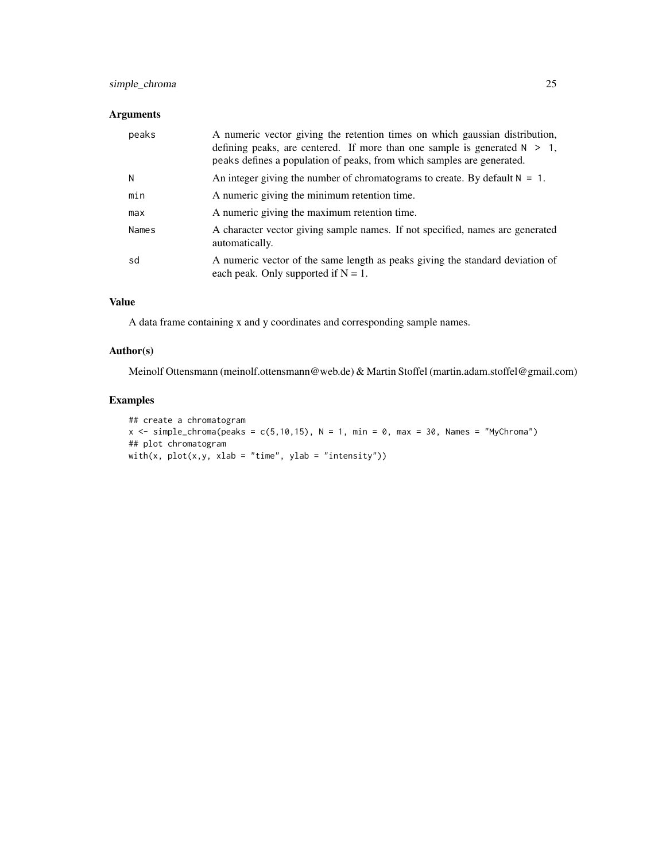## simple\_chroma 25

## Arguments

| peaks | A numeric vector giving the retention times on which gaussian distribution,<br>defining peaks, are centered. If more than one sample is generated $N > 1$ ,<br>peaks defines a population of peaks, from which samples are generated. |
|-------|---------------------------------------------------------------------------------------------------------------------------------------------------------------------------------------------------------------------------------------|
| N     | An integer giving the number of chromatograms to create. By default $N = 1$ .                                                                                                                                                         |
| min   | A numeric giving the minimum retention time.                                                                                                                                                                                          |
| max   | A numeric giving the maximum retention time.                                                                                                                                                                                          |
| Names | A character vector giving sample names. If not specified, names are generated<br>automatically.                                                                                                                                       |
| sd    | A numeric vector of the same length as peaks giving the standard deviation of<br>each peak. Only supported if $N = 1$ .                                                                                                               |

#### Value

A data frame containing x and y coordinates and corresponding sample names.

## Author(s)

Meinolf Ottensmann (meinolf.ottensmann@web.de) & Martin Stoffel (martin.adam.stoffel@gmail.com)

```
## create a chromatogram
x \le simple_chroma(peaks = c(5,10,15), N = 1, min = 0, max = 30, Names = "MyChroma")
## plot chromatogram
with(x, plot(x, y, xlab = "time", ylab = "intensity"))
```